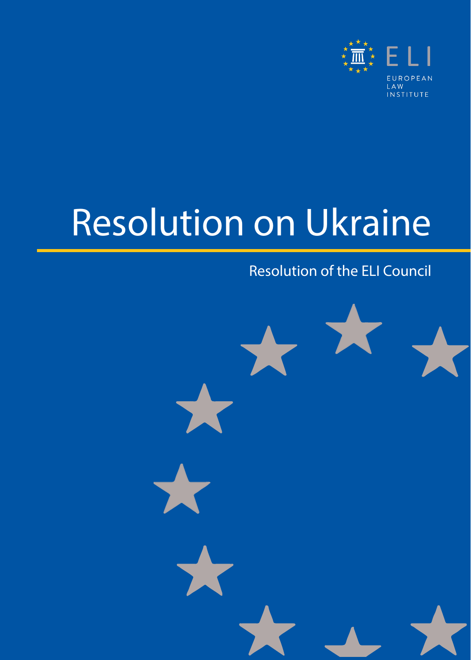

# Resolution on Ukraine

#### Resolution of the ELI Council

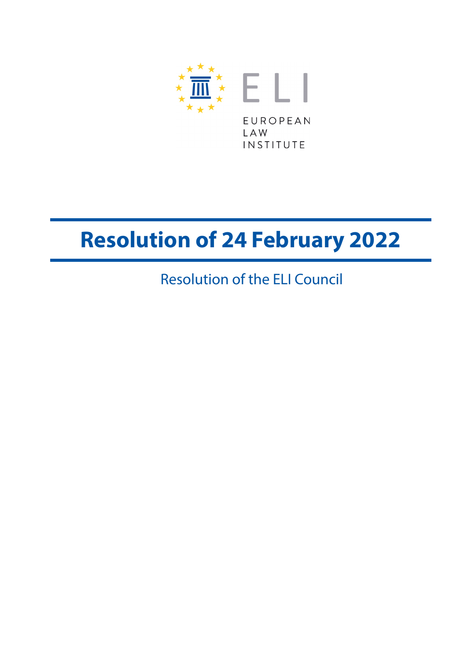

## **Resolution of 24 February 2022**

Resolution of the ELI Council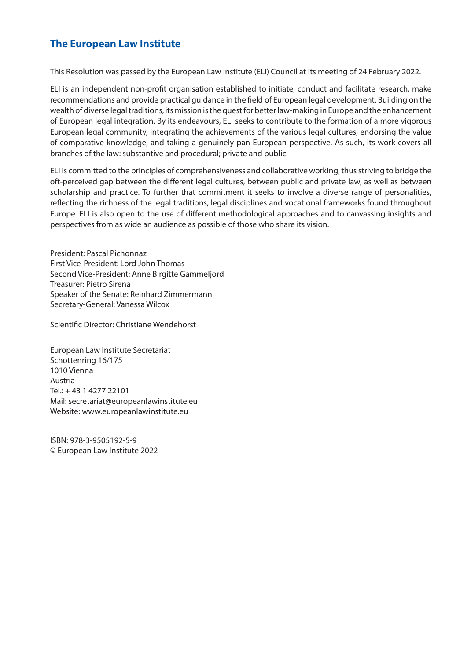#### **The European Law Institute**

This Resolution was passed by the European Law Institute (ELI) Council at its meeting of 24 February 2022.

ELI is an independent non-profit organisation established to initiate, conduct and facilitate research, make recommendations and provide practical guidance in the field of European legal development. Building on the wealth of diverse legal traditions, its mission is the quest for better law-making in Europe and the enhancement of European legal integration. By its endeavours, ELI seeks to contribute to the formation of a more vigorous European legal community, integrating the achievements of the various legal cultures, endorsing the value of comparative knowledge, and taking a genuinely pan-European perspective. As such, its work covers all branches of the law: substantive and procedural; private and public.

ELI is committed to the principles of comprehensiveness and collaborative working, thus striving to bridge the oft-perceived gap between the different legal cultures, between public and private law, as well as between scholarship and practice. To further that commitment it seeks to involve a diverse range of personalities, reflecting the richness of the legal traditions, legal disciplines and vocational frameworks found throughout Europe. ELI is also open to the use of different methodological approaches and to canvassing insights and perspectives from as wide an audience as possible of those who share its vision.

President: Pascal Pichonnaz First Vice-President: Lord John Thomas Second Vice-President: Anne Birgitte Gammeljord Treasurer: Pietro Sirena Speaker of the Senate: Reinhard Zimmermann Secretary-General: Vanessa Wilcox

Scientific Director: Christiane Wendehorst

European Law Institute Secretariat Schottenring 16/175 1010 Vienna Austria Tel.: + 43 1 4277 22101 Mail: [secretariat@europeanlawinstitute.eu](mailto:secretariat%40europeanlawinstitute.eu?subject=) Website: [www.europeanlawinstitute.eu](http://www.europeanlawinstitute.eu)

ISBN: 978-3-9505192-5-9 © European Law Institute 2022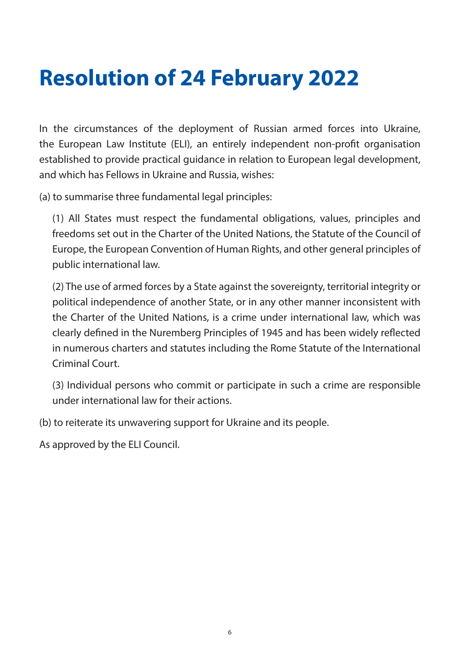### **Resolution of 24 February 2022**

In the circumstances of the deployment of Russian armed forces into Ukraine, the European Law Institute (ELI), an entirely independent non-profit organisation established to provide practical guidance in relation to European legal development, and which has Fellows in Ukraine and Russia, wishes:

(a) to summarise three fundamental legal principles:

(1) All States must respect the fundamental obligations, values, principles and freedoms set out in the Charter of the United Nations, the Statute of the Council of Europe, the European Convention of Human Rights, and other general principles of public international law.

(2) The use of armed forces by a State against the sovereignty, territorial integrity or political independence of another State, or in any other manner inconsistent with the Charter of the United Nations, is a crime under international law, which was clearly defined in the Nuremberg Principles of 1945 and has been widely reflected in numerous charters and statutes including the Rome Statute of the International Criminal Court.

(3) Individual persons who commit or participate in such a crime are responsible under international law for their actions.

(b) to reiterate its unwavering support for Ukraine and its people.

As approved by the ELI Council.